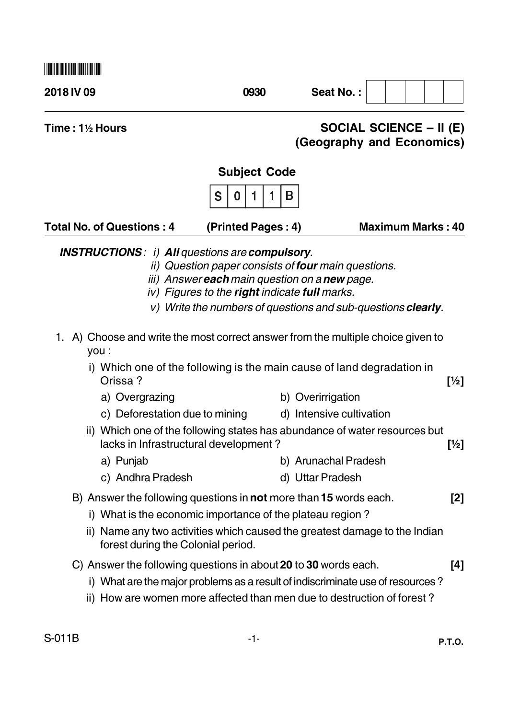| <u>I ILLII BIILII IILLI IILLII IILLII IILLI</u> |      |           |  |
|-------------------------------------------------|------|-----------|--|
| 2018 IV 09                                      | 0930 | Seat No.: |  |
|                                                 |      |           |  |

Time: 1% Hours

## **SOCIAL SCIENCE – II (E)** (Geography and Economics)

## **Subject Code**



| <b>Total No. of Questions: 4</b> | (Printed Pages: 4) | <b>Maximum Marks: 40</b> |
|----------------------------------|--------------------|--------------------------|
|                                  |                    |                          |

**INSTRUCTIONS: i) All questions are compulsory.** 

- *ii)* Question paper consists of **four** main questions.
- iii) Answer each main question on a new page.
- iv) Figures to the right indicate full marks.
- v) Write the numbers of questions and sub-questions clearly.
- 1. A) Choose and write the most correct answer from the multiple choice given to vou :
	- i) Which one of the following is the main cause of land degradation in Orissa?  $[\frac{1}{2}]$ 
		- b) Overirrigation a) Overgrazing
		- c) Deforestation due to mining d) Intensive cultivation
	- ii) Which one of the following states has abundance of water resources but lacks in Infrastructural development?  $[1/2]$ 
		- a) Punjab b) Arunachal Pradesh
		- c) Andhra Pradesh d) Uttar Pradesh
	- B) Answer the following questions in not more than 15 words each.  $[2]$ 
		- i) What is the economic importance of the plateau region?
		- ii) Name any two activities which caused the greatest damage to the Indian forest during the Colonial period.
	- C) Answer the following questions in about 20 to 30 words each.  $[4]$ 
		- i) What are the major problems as a result of indiscriminate use of resources?
		- ii) How are women more affected than men due to destruction of forest?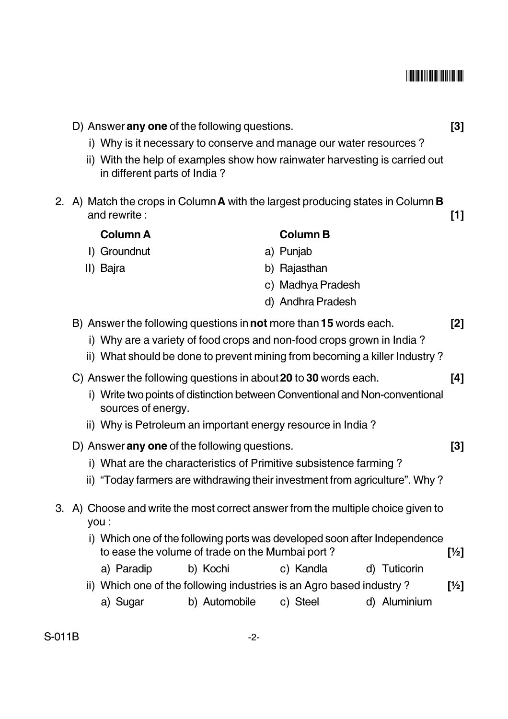## 

|    | D) Answer any one of the following questions.                                                              |               |                   | $[3]$                                                                        |                 |
|----|------------------------------------------------------------------------------------------------------------|---------------|-------------------|------------------------------------------------------------------------------|-----------------|
|    | i) Why is it necessary to conserve and manage our water resources?                                         |               |                   |                                                                              |                 |
|    | ii) With the help of examples show how rainwater harvesting is carried out<br>in different parts of India? |               |                   |                                                                              |                 |
| 2. | A) Match the crops in Column A with the largest producing states in Column B<br>and rewrite:               |               |                   |                                                                              | $[1]$           |
|    | <b>Column A</b>                                                                                            |               | <b>Column B</b>   |                                                                              |                 |
|    | I) Groundnut                                                                                               |               | a) Punjab         |                                                                              |                 |
|    | II) Bajra                                                                                                  |               | b) Rajasthan      |                                                                              |                 |
|    |                                                                                                            |               | c) Madhya Pradesh |                                                                              |                 |
|    |                                                                                                            |               | d) Andhra Pradesh |                                                                              |                 |
|    | B) Answer the following questions in not more than 15 words each.                                          |               |                   |                                                                              | [2]             |
|    | i) Why are a variety of food crops and non-food crops grown in India?                                      |               |                   |                                                                              |                 |
|    | ii) What should be done to prevent mining from becoming a killer Industry?                                 |               |                   |                                                                              |                 |
|    | C) Answer the following questions in about 20 to 30 words each.                                            |               |                   |                                                                              | [4]             |
|    |                                                                                                            |               |                   | i) Write two points of distinction between Conventional and Non-conventional |                 |
|    | sources of energy.                                                                                         |               |                   |                                                                              |                 |
|    | ii) Why is Petroleum an important energy resource in India?                                                |               |                   |                                                                              |                 |
|    | D) Answer any one of the following questions.                                                              |               |                   |                                                                              | $[3]$           |
|    | i) What are the characteristics of Primitive subsistence farming?                                          |               |                   |                                                                              |                 |
|    | ii)                                                                                                        |               |                   | "Today farmers are withdrawing their investment from agriculture". Why?      |                 |
| 3. | A) Choose and write the most correct answer from the multiple choice given to<br>you :                     |               |                   |                                                                              |                 |
|    | to ease the volume of trade on the Mumbai port?                                                            |               |                   | i) Which one of the following ports was developed soon after Independence    | $[\frac{1}{2}]$ |
|    | a) Paradip                                                                                                 | b) Kochi      | c) Kandla         | d) Tuticorin                                                                 |                 |
|    | ii) Which one of the following industries is an Agro based industry?                                       |               |                   |                                                                              | $[\frac{1}{2}]$ |
|    | a) Sugar                                                                                                   | b) Automobile | c) Steel          | d) Aluminium                                                                 |                 |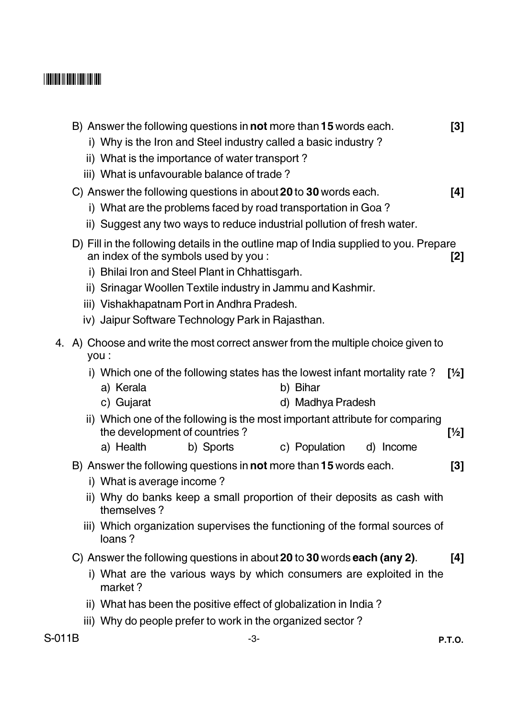## 

|      |       | B) Answer the following questions in <b>not</b> more than <b>15</b> words each.<br>i) Why is the Iron and Steel industry called a basic industry?<br>ii) What is the importance of water transport?<br>iii) What is unfavourable balance of trade?                                                                                                  |                               | $\lceil 3 \rceil$ |
|------|-------|-----------------------------------------------------------------------------------------------------------------------------------------------------------------------------------------------------------------------------------------------------------------------------------------------------------------------------------------------------|-------------------------------|-------------------|
|      |       | C) Answer the following questions in about 20 to 30 words each.<br>i) What are the problems faced by road transportation in Goa?<br>ii) Suggest any two ways to reduce industrial pollution of fresh water.                                                                                                                                         |                               | [4]               |
|      |       | D) Fill in the following details in the outline map of India supplied to you. Prepare<br>an index of the symbols used by you:<br>i) Bhilai Iron and Steel Plant in Chhattisgarh.<br>ii) Srinagar Woollen Textile industry in Jammu and Kashmir.<br>iii) Vishakhapatnam Port in Andhra Pradesh.<br>iv) Jaipur Software Technology Park in Rajasthan. |                               | [2]               |
| 4.   | you : | A) Choose and write the most correct answer from the multiple choice given to                                                                                                                                                                                                                                                                       |                               |                   |
|      |       | i) Which one of the following states has the lowest infant mortality rate?<br>a) Kerala<br>c) Gujarat                                                                                                                                                                                                                                               | b) Bihar<br>d) Madhya Pradesh | [1/2]             |
|      |       | ii) Which one of the following is the most important attribute for comparing<br>the development of countries?<br>a) Health<br>b) Sports                                                                                                                                                                                                             | c) Population<br>d) Income    | [1/2]             |
|      |       | B) Answer the following questions in not more than 15 words each.<br>i) What is average income?<br>ii) Why do banks keep a small proportion of their deposits as cash with<br>themselves?<br>iii) Which organization supervises the functioning of the formal sources of                                                                            |                               | $\lceil 3 \rceil$ |
|      |       | loans?<br>C) Answer the following questions in about 20 to 30 words each (any 2).<br>i) What are the various ways by which consumers are exploited in the<br>market?                                                                                                                                                                                |                               | [4]               |
|      |       | ii) What has been the positive effect of globalization in India?                                                                                                                                                                                                                                                                                    |                               |                   |
|      |       | iii) Why do people prefer to work in the organized sector?                                                                                                                                                                                                                                                                                          |                               |                   |
| 011B |       | -3-                                                                                                                                                                                                                                                                                                                                                 |                               | <b>P.T.O.</b>     |